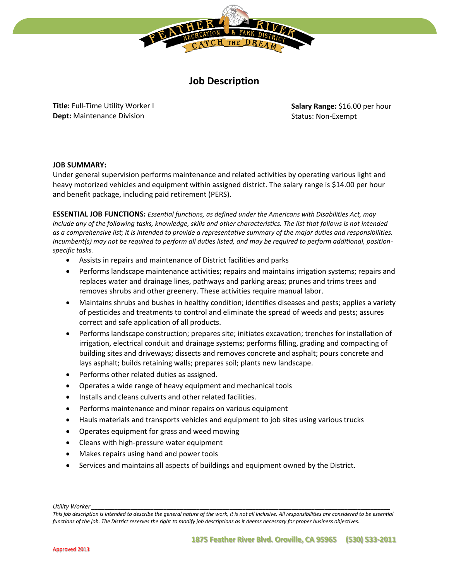

# **Job Description**

**Title:** Full-Time Utility Worker I **Dept:** Maintenance Division

**Salary Range:** \$16.00 per hour Status: Non-Exempt

### **JOB SUMMARY:**

Under general supervision performs maintenance and related activities by operating various light and heavy motorized vehicles and equipment within assigned district. The salary range is \$14.00 per hour and benefit package, including paid retirement (PERS).

**ESSENTIAL JOB FUNCTIONS:** *Essential functions, as defined under the Americans with Disabilities Act, may include any of the following tasks, knowledge, skills and other characteristics. The list that follows is not intended as a comprehensive list; it is intended to provide a representative summary of the major duties and responsibilities. Incumbent(s) may not be required to perform all duties listed, and may be required to perform additional, positionspecific tasks.* 

- Assists in repairs and maintenance of District facilities and parks
- Performs landscape maintenance activities; repairs and maintains irrigation systems; repairs and replaces water and drainage lines, pathways and parking areas; prunes and trims trees and removes shrubs and other greenery. These activities require manual labor.
- Maintains shrubs and bushes in healthy condition; identifies diseases and pests; applies a variety of pesticides and treatments to control and eliminate the spread of weeds and pests; assures correct and safe application of all products.
- Performs landscape construction; prepares site; initiates excavation; trenches for installation of irrigation, electrical conduit and drainage systems; performs filling, grading and compacting of building sites and driveways; dissects and removes concrete and asphalt; pours concrete and lays asphalt; builds retaining walls; prepares soil; plants new landscape.
- Performs other related duties as assigned.
- Operates a wide range of heavy equipment and mechanical tools
- Installs and cleans culverts and other related facilities.
- Performs maintenance and minor repairs on various equipment
- Hauls materials and transports vehicles and equipment to job sites using various trucks
- Operates equipment for grass and weed mowing
- Cleans with high-pressure water equipment
- Makes repairs using hand and power tools
- Services and maintains all aspects of buildings and equipment owned by the District.

*Utility Worker \_\_\_\_\_\_\_\_\_\_\_\_\_\_\_\_\_\_\_\_\_\_\_\_\_\_\_\_\_\_\_\_\_\_\_\_\_\_\_\_\_\_\_\_\_\_\_\_\_\_\_\_\_\_\_\_\_\_\_\_\_\_\_\_\_\_\_\_\_\_\_\_\_\_\_\_\_\_\_\_\_\_\_\_\_\_\_\_\_\_\_* 

*This job description is intended to describe the general nature of the work, it is not all inclusive. All responsibilities are considered to be essential functions of the job. The District reserves the right to modify job descriptions as it deems necessary for proper business objectives.*